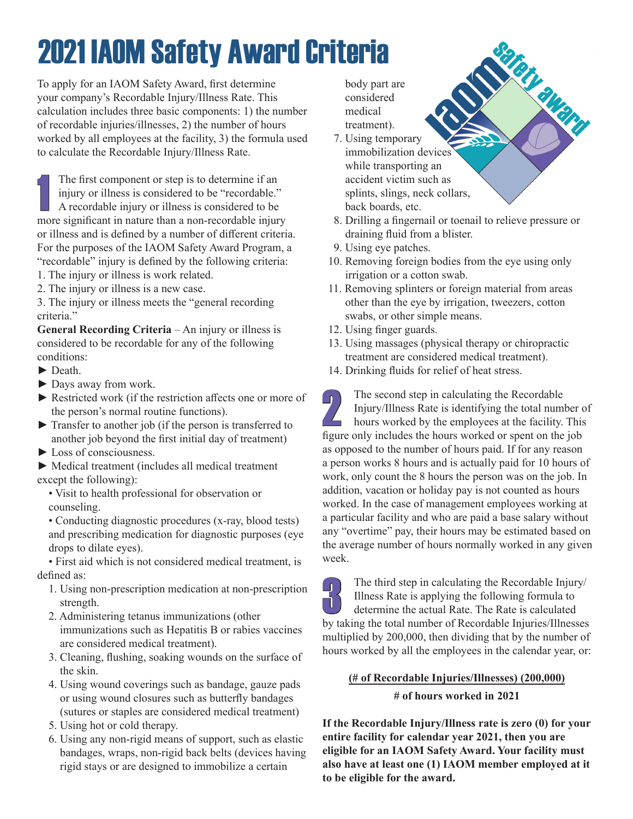## 2021 IAOM Safety Award Criteria

To apply for an IAOM Safety Award, first determine your company's Recordable Injury/Illness Rate. This calculation includes three basic components: 1) the number of recordable injuries/illnesses, 2) the number of hours worked by all employees at the facility, 3) the formula used to calculate the Recordable Injury/Illness Rate.

The first component or step is to determine if an injury or illness is considered to be "recordable."<br>A recordable injury or illness is considered to be more significant in nature than a non-recordable injury The first component or step is to determine if an injury or illness is considered to be "recordable." A recordable injury or illness is considered to be or illness and is defined by a number of different criteria. For the purposes of the IAOM Safety Award Program, a "recordable" injury is defined by the following criteria: 1. The injury or illness is work related.

2. The injury or illness is a new case.

3. The injury or illness meets the "general recording criteria."

**General Recording Criteria** – An injury or illness is considered to be recordable for any of the following conditions:

- ► Death.
- ► Days away from work.
- ► Restricted work (if the restriction affects one or more of the person's normal routine functions).
- ► Transfer to another job (if the person is transferred to another job beyond the first initial day of treatment)
- ► Loss of consciousness.

► Medical treatment (includes all medical treatment except the following):

• Visit to health professional for observation or counseling.

• Conducting diagnostic procedures (x-ray, blood tests) and prescribing medication for diagnostic purposes (eye drops to dilate eyes).

• First aid which is not considered medical treatment, is defined as:

- 1. Using non-prescription medication at non-prescription strength.
- 2. Administering tetanus immunizations (other immunizations such as Hepatitis B or rabies vaccines are considered medical treatment).
- 3. Cleaning, flushing, soaking wounds on the surface of the skin.
- 4. Using wound coverings such as bandage, gauze pads or using wound closures such as butterfly bandages (sutures or staples are considered medical treatment)
- 5. Using hot or cold therapy.
- 6. Using any non-rigid means of support, such as elastic bandages, wraps, non-rigid back belts (devices having rigid stays or are designed to immobilize a certain

 body part are considered medical treatment).

- 7. Using temporary immobilization devices while transporting an accident victim such as splints, slings, neck collars, back boards, etc.
- 8. Drilling a fingernail or toenail to relieve pressure or draining fluid from a blister.

Diamana

- 9. Using eye patches.
- 10. Removing foreign bodies from the eye using only irrigation or a cotton swab.
- 11. Removing splinters or foreign material from areas other than the eye by irrigation, tweezers, cotton swabs, or other simple means.
- 12. Using finger guards.
- 13. Using massages (physical therapy or chiropractic treatment are considered medical treatment).
- 14. Drinking fluids for relief of heat stress.

The second step in calculating the Recordable<br>Injury/Illness Rate is identifying the total num<br>hours worked by the employees at the facility.<br>figure only includes the hours worked or spent on the Injury/Illness Rate is identifying the total number of hours worked by the employees at the facility. This figure only includes the hours worked or spent on the job as opposed to the number of hours paid. If for any reason a person works 8 hours and is actually paid for 10 hours of work, only count the 8 hours the person was on the job. In addition, vacation or holiday pay is not counted as hours worked. In the case of management employees working at a particular facility and who are paid a base salary without any "overtime" pay, their hours may be estimated based on the average number of hours normally worked in any given week.

The third step in calculating the Recordable Injury/<br>Illness Rate is applying the following formula to Illness Rate is applying the following formula to determine the actual Rate. The Rate is calculated by taking the total number of Recordable Injuries/Illnesses multiplied by 200,000, then dividing that by the number of hours worked by all the employees in the calendar year, or:

## **(# of Recordable Injuries/Illnesses) (200,000)**

**# of hours worked in 2021**

**If the Recordable Injury/Illness rate is zero (0) for your entire facility for calendar year 2021, then you are eligible for an IAOM Safety Award. Your facility must also have at least one (1) IAOM member employed at it to be eligible for the award.**